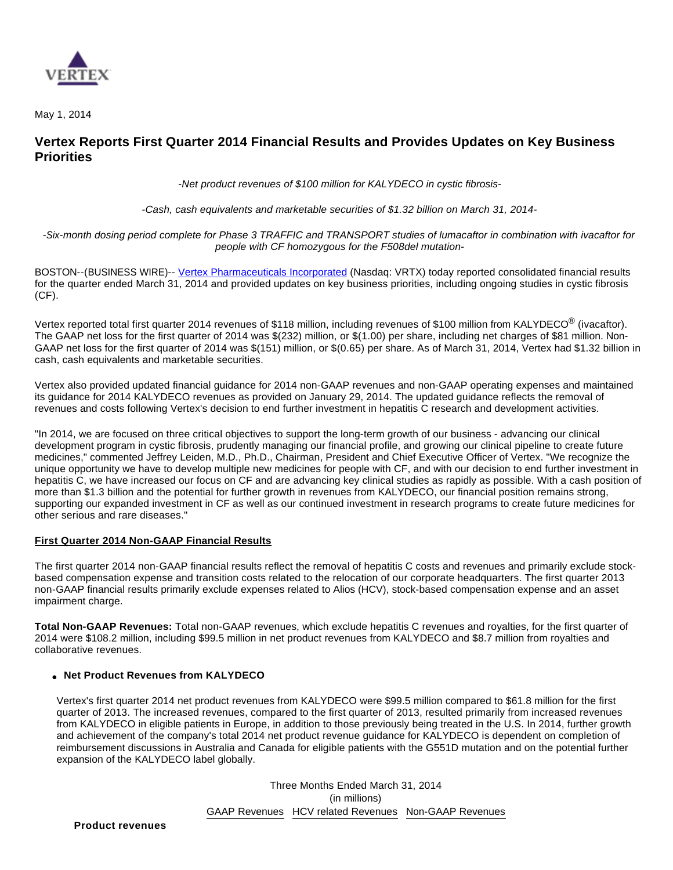

May 1, 2014

# **Vertex Reports First Quarter 2014 Financial Results and Provides Updates on Key Business Priorities**

-Net product revenues of \$100 million for KALYDECO in cystic fibrosis-

-Cash, cash equivalents and marketable securities of \$1.32 billion on March 31, 2014-

-Six-month dosing period complete for Phase 3 TRAFFIC and TRANSPORT studies of lumacaftor in combination with ivacaftor for people with CF homozygous for the F508del mutation-

BOSTON--(BUSINESS WIRE)-- [Vertex Pharmaceuticals Incorporated](http://cts.businesswire.com/ct/CT?id=smartlink&url=http%3A%2F%2Fwww.vrtx.com&esheet=50856359&newsitemid=20140501006693&lan=en-US&anchor=Vertex+Pharmaceuticals+Incorporated&index=1&md5=8d23e98f0edc0421f49254b4ff3b92d4) (Nasdaq: VRTX) today reported consolidated financial results for the quarter ended March 31, 2014 and provided updates on key business priorities, including ongoing studies in cystic fibrosis (CF).

Vertex reported total first quarter 2014 revenues of \$118 million, including revenues of \$100 million from KALYDECO<sup>®</sup> (ivacaftor). The GAAP net loss for the first quarter of 2014 was \$(232) million, or \$(1.00) per share, including net charges of \$81 million. Non-GAAP net loss for the first quarter of 2014 was \$(151) million, or \$(0.65) per share. As of March 31, 2014, Vertex had \$1.32 billion in cash, cash equivalents and marketable securities.

Vertex also provided updated financial guidance for 2014 non-GAAP revenues and non-GAAP operating expenses and maintained its guidance for 2014 KALYDECO revenues as provided on January 29, 2014. The updated guidance reflects the removal of revenues and costs following Vertex's decision to end further investment in hepatitis C research and development activities.

"In 2014, we are focused on three critical objectives to support the long-term growth of our business - advancing our clinical development program in cystic fibrosis, prudently managing our financial profile, and growing our clinical pipeline to create future medicines," commented Jeffrey Leiden, M.D., Ph.D., Chairman, President and Chief Executive Officer of Vertex. "We recognize the unique opportunity we have to develop multiple new medicines for people with CF, and with our decision to end further investment in hepatitis C, we have increased our focus on CF and are advancing key clinical studies as rapidly as possible. With a cash position of more than \$1.3 billion and the potential for further growth in revenues from KALYDECO, our financial position remains strong, supporting our expanded investment in CF as well as our continued investment in research programs to create future medicines for other serious and rare diseases."

# **First Quarter 2014 Non-GAAP Financial Results**

The first quarter 2014 non-GAAP financial results reflect the removal of hepatitis C costs and revenues and primarily exclude stockbased compensation expense and transition costs related to the relocation of our corporate headquarters. The first quarter 2013 non-GAAP financial results primarily exclude expenses related to Alios (HCV), stock-based compensation expense and an asset impairment charge.

**Total Non-GAAP Revenues:** Total non-GAAP revenues, which exclude hepatitis C revenues and royalties, for the first quarter of 2014 were \$108.2 million, including \$99.5 million in net product revenues from KALYDECO and \$8.7 million from royalties and collaborative revenues.

#### ● **Net Product Revenues from KALYDECO**

Vertex's first quarter 2014 net product revenues from KALYDECO were \$99.5 million compared to \$61.8 million for the first quarter of 2013. The increased revenues, compared to the first quarter of 2013, resulted primarily from increased revenues from KALYDECO in eligible patients in Europe, in addition to those previously being treated in the U.S. In 2014, further growth and achievement of the company's total 2014 net product revenue guidance for KALYDECO is dependent on completion of reimbursement discussions in Australia and Canada for eligible patients with the G551D mutation and on the potential further expansion of the KALYDECO label globally.

> Three Months Ended March 31, 2014 (in millions) GAAP Revenues HCV related Revenues Non-GAAP Revenues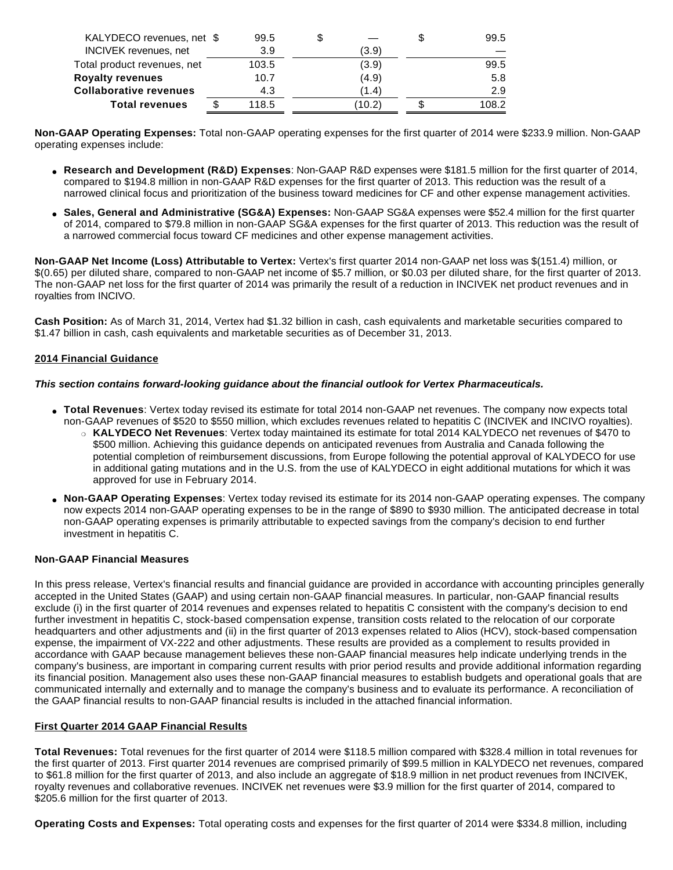| KALYDECO revenues, net \$     | 99.5  | \$     | 99.5  |
|-------------------------------|-------|--------|-------|
| <b>INCIVEK</b> revenues, net  | 3.9   | (3.9)  |       |
| Total product revenues, net   | 103.5 | (3.9)  | 99.5  |
| <b>Royalty revenues</b>       | 10.7  | (4.9)  | 5.8   |
| <b>Collaborative revenues</b> | 4.3   | (1.4)  | 2.9   |
| <b>Total revenues</b>         | 118.5 | (10.2) | 108.2 |

**Non-GAAP Operating Expenses:** Total non-GAAP operating expenses for the first quarter of 2014 were \$233.9 million. Non-GAAP operating expenses include:

- **Research and Development (R&D) Expenses**: Non-GAAP R&D expenses were \$181.5 million for the first quarter of 2014, compared to \$194.8 million in non-GAAP R&D expenses for the first quarter of 2013. This reduction was the result of a narrowed clinical focus and prioritization of the business toward medicines for CF and other expense management activities.
- **Sales, General and Administrative (SG&A) Expenses:** Non-GAAP SG&A expenses were \$52.4 million for the first quarter of 2014, compared to \$79.8 million in non-GAAP SG&A expenses for the first quarter of 2013. This reduction was the result of a narrowed commercial focus toward CF medicines and other expense management activities.

**Non-GAAP Net Income (Loss) Attributable to Vertex:** Vertex's first quarter 2014 non-GAAP net loss was \$(151.4) million, or \$(0.65) per diluted share, compared to non-GAAP net income of \$5.7 million, or \$0.03 per diluted share, for the first quarter of 2013. The non-GAAP net loss for the first quarter of 2014 was primarily the result of a reduction in INCIVEK net product revenues and in royalties from INCIVO.

**Cash Position:** As of March 31, 2014, Vertex had \$1.32 billion in cash, cash equivalents and marketable securities compared to \$1.47 billion in cash, cash equivalents and marketable securities as of December 31, 2013.

# **2014 Financial Guidance**

### **This section contains forward-looking guidance about the financial outlook for Vertex Pharmaceuticals.**

- **Total Revenues**: Vertex today revised its estimate for total 2014 non-GAAP net revenues. The company now expects total non-GAAP revenues of \$520 to \$550 million, which excludes revenues related to hepatitis C (INCIVEK and INCIVO royalties).
	- ❍ **KALYDECO Net Revenues**: Vertex today maintained its estimate for total 2014 KALYDECO net revenues of \$470 to \$500 million. Achieving this guidance depends on anticipated revenues from Australia and Canada following the potential completion of reimbursement discussions, from Europe following the potential approval of KALYDECO for use in additional gating mutations and in the U.S. from the use of KALYDECO in eight additional mutations for which it was approved for use in February 2014.
- **Non-GAAP Operating Expenses**: Vertex today revised its estimate for its 2014 non-GAAP operating expenses. The company now expects 2014 non-GAAP operating expenses to be in the range of \$890 to \$930 million. The anticipated decrease in total non-GAAP operating expenses is primarily attributable to expected savings from the company's decision to end further investment in hepatitis C.

#### **Non-GAAP Financial Measures**

In this press release, Vertex's financial results and financial guidance are provided in accordance with accounting principles generally accepted in the United States (GAAP) and using certain non-GAAP financial measures. In particular, non-GAAP financial results exclude (i) in the first quarter of 2014 revenues and expenses related to hepatitis C consistent with the company's decision to end further investment in hepatitis C, stock-based compensation expense, transition costs related to the relocation of our corporate headquarters and other adjustments and (ii) in the first quarter of 2013 expenses related to Alios (HCV), stock-based compensation expense, the impairment of VX-222 and other adjustments. These results are provided as a complement to results provided in accordance with GAAP because management believes these non-GAAP financial measures help indicate underlying trends in the company's business, are important in comparing current results with prior period results and provide additional information regarding its financial position. Management also uses these non-GAAP financial measures to establish budgets and operational goals that are communicated internally and externally and to manage the company's business and to evaluate its performance. A reconciliation of the GAAP financial results to non-GAAP financial results is included in the attached financial information.

### **First Quarter 2014 GAAP Financial Results**

**Total Revenues:** Total revenues for the first quarter of 2014 were \$118.5 million compared with \$328.4 million in total revenues for the first quarter of 2013. First quarter 2014 revenues are comprised primarily of \$99.5 million in KALYDECO net revenues, compared to \$61.8 million for the first quarter of 2013, and also include an aggregate of \$18.9 million in net product revenues from INCIVEK, royalty revenues and collaborative revenues. INCIVEK net revenues were \$3.9 million for the first quarter of 2014, compared to \$205.6 million for the first quarter of 2013.

**Operating Costs and Expenses:** Total operating costs and expenses for the first quarter of 2014 were \$334.8 million, including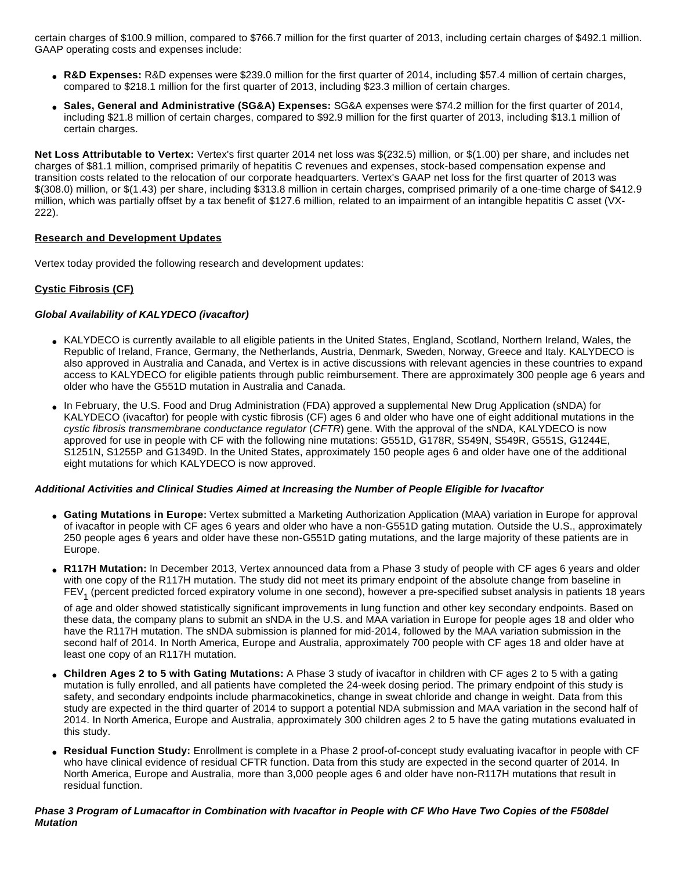certain charges of \$100.9 million, compared to \$766.7 million for the first quarter of 2013, including certain charges of \$492.1 million. GAAP operating costs and expenses include:

- R&D Expenses: R&D expenses were \$239.0 million for the first quarter of 2014, including \$57.4 million of certain charges, compared to \$218.1 million for the first quarter of 2013, including \$23.3 million of certain charges.
- **Sales, General and Administrative (SG&A) Expenses:** SG&A expenses were \$74.2 million for the first quarter of 2014, including \$21.8 million of certain charges, compared to \$92.9 million for the first quarter of 2013, including \$13.1 million of certain charges.

**Net Loss Attributable to Vertex:** Vertex's first quarter 2014 net loss was \$(232.5) million, or \$(1.00) per share, and includes net charges of \$81.1 million, comprised primarily of hepatitis C revenues and expenses, stock-based compensation expense and transition costs related to the relocation of our corporate headquarters. Vertex's GAAP net loss for the first quarter of 2013 was \$(308.0) million, or \$(1.43) per share, including \$313.8 million in certain charges, comprised primarily of a one-time charge of \$412.9 million, which was partially offset by a tax benefit of \$127.6 million, related to an impairment of an intangible hepatitis C asset (VX-222).

### **Research and Development Updates**

Vertex today provided the following research and development updates:

# **Cystic Fibrosis (CF)**

# **Global Availability of KALYDECO (ivacaftor)**

- KALYDECO is currently available to all eligible patients in the United States, England, Scotland, Northern Ireland, Wales, the Republic of Ireland, France, Germany, the Netherlands, Austria, Denmark, Sweden, Norway, Greece and Italy. KALYDECO is also approved in Australia and Canada, and Vertex is in active discussions with relevant agencies in these countries to expand access to KALYDECO for eligible patients through public reimbursement. There are approximately 300 people age 6 years and older who have the G551D mutation in Australia and Canada.
- In February, the U.S. Food and Drug Administration (FDA) approved a supplemental New Drug Application (sNDA) for KALYDECO (ivacaftor) for people with cystic fibrosis (CF) ages 6 and older who have one of eight additional mutations in the cystic fibrosis transmembrane conductance regulator (CFTR) gene. With the approval of the sNDA, KALYDECO is now approved for use in people with CF with the following nine mutations: G551D, G178R, S549N, S549R, G551S, G1244E, S1251N, S1255P and G1349D. In the United States, approximately 150 people ages 6 and older have one of the additional eight mutations for which KALYDECO is now approved.

#### **Additional Activities and Clinical Studies Aimed at Increasing the Number of People Eligible for Ivacaftor**

- **Gating Mutations in Europe:** Vertex submitted a Marketing Authorization Application (MAA) variation in Europe for approval of ivacaftor in people with CF ages 6 years and older who have a non-G551D gating mutation. Outside the U.S., approximately 250 people ages 6 years and older have these non-G551D gating mutations, and the large majority of these patients are in Europe.
- **R117H Mutation:** In December 2013, Vertex announced data from a Phase 3 study of people with CF ages 6 years and older with one copy of the R117H mutation. The study did not meet its primary endpoint of the absolute change from baseline in FEV<sub>1</sub> (percent predicted forced expiratory volume in one second), however a pre-specified subset analysis in patients 18 years

of age and older showed statistically significant improvements in lung function and other key secondary endpoints. Based on these data, the company plans to submit an sNDA in the U.S. and MAA variation in Europe for people ages 18 and older who have the R117H mutation. The sNDA submission is planned for mid-2014, followed by the MAA variation submission in the second half of 2014. In North America, Europe and Australia, approximately 700 people with CF ages 18 and older have at least one copy of an R117H mutation.

- **Children Ages 2 to 5 with Gating Mutations:** A Phase 3 study of ivacaftor in children with CF ages 2 to 5 with a gating mutation is fully enrolled, and all patients have completed the 24-week dosing period. The primary endpoint of this study is safety, and secondary endpoints include pharmacokinetics, change in sweat chloride and change in weight. Data from this study are expected in the third quarter of 2014 to support a potential NDA submission and MAA variation in the second half of 2014. In North America, Europe and Australia, approximately 300 children ages 2 to 5 have the gating mutations evaluated in this study.
- **Residual Function Study:** Enrollment is complete in a Phase 2 proof-of-concept study evaluating ivacaftor in people with CF who have clinical evidence of residual CFTR function. Data from this study are expected in the second quarter of 2014. In North America, Europe and Australia, more than 3,000 people ages 6 and older have non-R117H mutations that result in residual function.

### **Phase 3 Program of Lumacaftor in Combination with Ivacaftor in People with CF Who Have Two Copies of the F508del Mutation**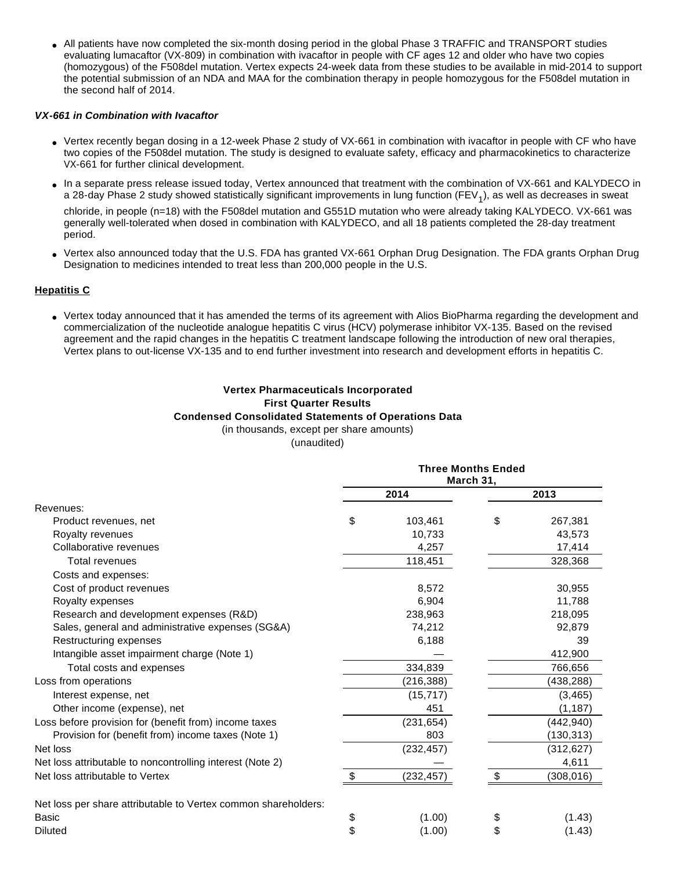All patients have now completed the six-month dosing period in the global Phase 3 TRAFFIC and TRANSPORT studies evaluating lumacaftor (VX-809) in combination with ivacaftor in people with CF ages 12 and older who have two copies (homozygous) of the F508del mutation. Vertex expects 24-week data from these studies to be available in mid-2014 to support the potential submission of an NDA and MAA for the combination therapy in people homozygous for the F508del mutation in the second half of 2014.

#### **VX-661 in Combination with Ivacaftor**

- Vertex recently began dosing in a 12-week Phase 2 study of VX-661 in combination with ivacaftor in people with CF who have two copies of the F508del mutation. The study is designed to evaluate safety, efficacy and pharmacokinetics to characterize VX-661 for further clinical development.
- In a separate press release issued today, Vertex announced that treatment with the combination of VX-661 and KALYDECO in a 28-day Phase 2 study showed statistically significant improvements in lung function (FEV<sub>1</sub>), as well as decreases in sweat

chloride, in people (n=18) with the F508del mutation and G551D mutation who were already taking KALYDECO. VX-661 was generally well-tolerated when dosed in combination with KALYDECO, and all 18 patients completed the 28-day treatment period.

Vertex also announced today that the U.S. FDA has granted VX-661 Orphan Drug Designation. The FDA grants Orphan Drug Designation to medicines intended to treat less than 200,000 people in the U.S.

#### **Hepatitis C**

● Vertex today announced that it has amended the terms of its agreement with Alios BioPharma regarding the development and commercialization of the nucleotide analogue hepatitis C virus (HCV) polymerase inhibitor VX-135. Based on the revised agreement and the rapid changes in the hepatitis C treatment landscape following the introduction of new oral therapies, Vertex plans to out-license VX-135 and to end further investment into research and development efforts in hepatitis C.

# **Vertex Pharmaceuticals Incorporated First Quarter Results Condensed Consolidated Statements of Operations Data** (in thousands, except per share amounts)

(unaudited)

|                                                                | <b>Three Months Ended</b><br>March 31, |            |    |            |  |
|----------------------------------------------------------------|----------------------------------------|------------|----|------------|--|
|                                                                |                                        | 2014       |    | 2013       |  |
| Revenues:                                                      |                                        |            |    |            |  |
| Product revenues, net                                          | \$                                     | 103,461    | \$ | 267,381    |  |
| Royalty revenues                                               |                                        | 10,733     |    | 43,573     |  |
| Collaborative revenues                                         |                                        | 4,257      |    | 17,414     |  |
| <b>Total revenues</b>                                          |                                        | 118,451    |    | 328,368    |  |
| Costs and expenses:                                            |                                        |            |    |            |  |
| Cost of product revenues                                       |                                        | 8,572      |    | 30,955     |  |
| Royalty expenses                                               |                                        | 6,904      |    | 11,788     |  |
| Research and development expenses (R&D)                        |                                        | 238,963    |    | 218,095    |  |
| Sales, general and administrative expenses (SG&A)              |                                        | 74,212     |    | 92,879     |  |
| Restructuring expenses                                         |                                        | 6,188      |    | 39         |  |
| Intangible asset impairment charge (Note 1)                    |                                        |            |    | 412,900    |  |
| Total costs and expenses                                       |                                        | 334,839    |    | 766,656    |  |
| Loss from operations                                           |                                        | (216, 388) |    | (438, 288) |  |
| Interest expense, net                                          |                                        | (15, 717)  |    | (3, 465)   |  |
| Other income (expense), net                                    |                                        | 451        |    | (1, 187)   |  |
| Loss before provision for (benefit from) income taxes          |                                        | (231, 654) |    | (442, 940) |  |
| Provision for (benefit from) income taxes (Note 1)             |                                        | 803        |    | (130, 313) |  |
| Net loss                                                       |                                        | (232, 457) |    | (312, 627) |  |
| Net loss attributable to noncontrolling interest (Note 2)      |                                        |            |    | 4,611      |  |
| Net loss attributable to Vertex                                | \$                                     | (232, 457) | \$ | (308, 016) |  |
| Net loss per share attributable to Vertex common shareholders: |                                        |            |    |            |  |
| <b>Basic</b>                                                   | \$                                     | (1.00)     | \$ | (1.43)     |  |
| <b>Diluted</b>                                                 | \$                                     | (1.00)     | \$ | (1.43)     |  |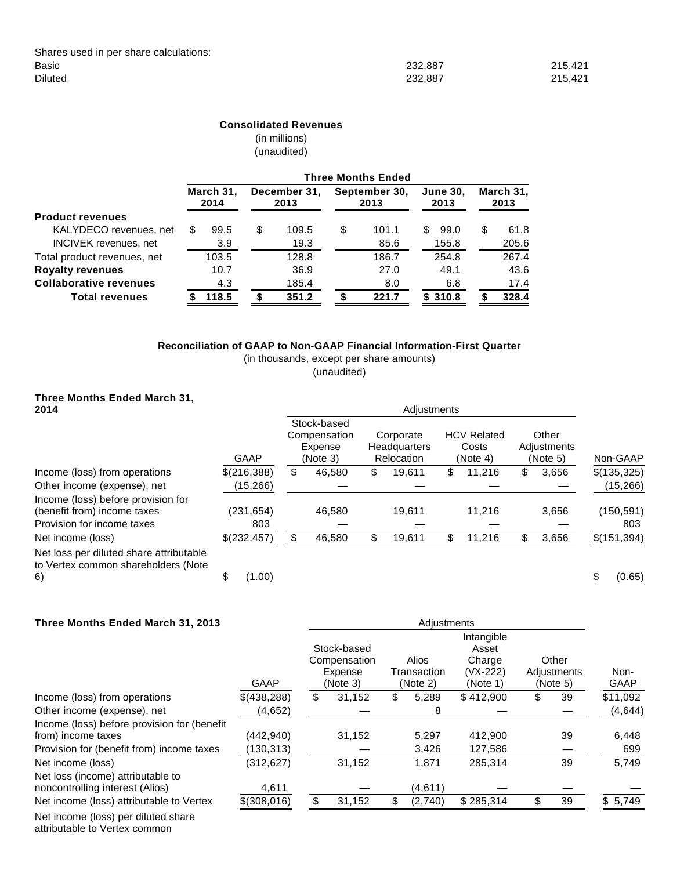# **Consolidated Revenues**

(in millions) (unaudited)

|                               | <b>Three Months Ended</b> |                   |   |                      |    |                       |   |                         |   |                   |  |
|-------------------------------|---------------------------|-------------------|---|----------------------|----|-----------------------|---|-------------------------|---|-------------------|--|
|                               |                           | March 31,<br>2014 |   | December 31.<br>2013 |    | September 30.<br>2013 |   | <b>June 30.</b><br>2013 |   | March 31,<br>2013 |  |
| <b>Product revenues</b>       |                           |                   |   |                      |    |                       |   |                         |   |                   |  |
| KALYDECO revenues, net        | S                         | 99.5              | S | 109.5                | \$ | 101.1                 | S | 99.0                    | S | 61.8              |  |
| <b>INCIVEK</b> revenues, net  |                           | 3.9               |   | 19.3                 |    | 85.6                  |   | 155.8                   |   | 205.6             |  |
| Total product revenues, net   |                           | 103.5             |   | 128.8                |    | 186.7                 |   | 254.8                   |   | 267.4             |  |
| <b>Royalty revenues</b>       |                           | 10.7              |   | 36.9                 |    | 27.0                  |   | 49.1                    |   | 43.6              |  |
| <b>Collaborative revenues</b> |                           | 4.3               |   | 185.4                |    | 8.0                   |   | 6.8                     |   | 17.4              |  |
| <b>Total revenues</b>         |                           | 118.5             | S | 351.2                | \$ | 221.7                 |   | \$310.8                 |   | 328.4             |  |

# **Reconciliation of GAAP to Non-GAAP Financial Information-First Quarter**

(in thousands, except per share amounts)

(unaudited)

# **Three Months Ended March 31, 2014** Adjustments

|                                                                                                 | GAAP              | Stock-based<br>Compensation<br>Expense<br>(Note 3) |    | Corporate<br><b>Headquarters</b><br>Relocation | <b>HCV Related</b><br>Costs<br>(Note 4) | Other<br>Adjustments<br>(Note 5) | Non-GAAP          |
|-------------------------------------------------------------------------------------------------|-------------------|----------------------------------------------------|----|------------------------------------------------|-----------------------------------------|----------------------------------|-------------------|
| Income (loss) from operations                                                                   | \$(216,388)       | \$<br>46,580                                       | \$ | 19.611                                         | \$<br>11.216                            | \$<br>3,656                      | \$(135,325)       |
| Other income (expense), net                                                                     | (15, 266)         |                                                    |    |                                                |                                         |                                  | (15, 266)         |
| Income (loss) before provision for<br>(benefit from) income taxes<br>Provision for income taxes | (231, 654)<br>803 | 46,580                                             |    | 19.611                                         | 11.216                                  | 3,656                            | (150, 591)<br>803 |
| Net income (loss)                                                                               | \$(232,457)       | 46,580                                             | S  | 19,611                                         | \$<br>11,216                            | 3,656                            | \$(151,394)       |
| Net loss per diluted share attributable<br>to Vertex common shareholders (Note<br>6)            | (1.00)<br>S       |                                                    |    |                                                |                                         |                                  | \$<br>(0.65)      |

#### **Three Months Ended March 31, 2013** Adjustments

|                                             | GAAP        | Stock-based<br>Compensation<br>Expense<br>(Note 3) | Alios<br>Transaction<br>(Note 2) | Intangible<br>Asset<br>Charge<br>(VX-222)<br>(Note 1) | Other<br>Adjustments<br>(Note 5) | Non-<br>GAAP |
|---------------------------------------------|-------------|----------------------------------------------------|----------------------------------|-------------------------------------------------------|----------------------------------|--------------|
| Income (loss) from operations               | \$(438,288) | \$<br>31,152                                       | \$<br>5,289                      | \$412,900                                             | \$<br>39                         | \$11,092     |
| Other income (expense), net                 | (4,652)     |                                                    | 8                                |                                                       |                                  | (4, 644)     |
| Income (loss) before provision for (benefit |             |                                                    |                                  |                                                       |                                  |              |
| from) income taxes                          | (442,940)   | 31,152                                             | 5,297                            | 412.900                                               | 39                               | 6,448        |
| Provision for (benefit from) income taxes   | (130,313)   |                                                    | 3,426                            | 127,586                                               |                                  | 699          |
| Net income (loss)                           | (312, 627)  | 31,152                                             | 1,871                            | 285.314                                               | 39                               | 5,749        |
| Net loss (income) attributable to           |             |                                                    |                                  |                                                       |                                  |              |
| noncontrolling interest (Alios)             | 4,611       |                                                    | (4,611)                          |                                                       |                                  |              |
| Net income (loss) attributable to Vertex    | \$(308,016) | \$<br>31,152                                       | \$<br>(2,740)                    | \$285,314                                             | 39                               | \$5,749      |
| Net income (loss) per diluted share         |             |                                                    |                                  |                                                       |                                  |              |

attributable to Vertex common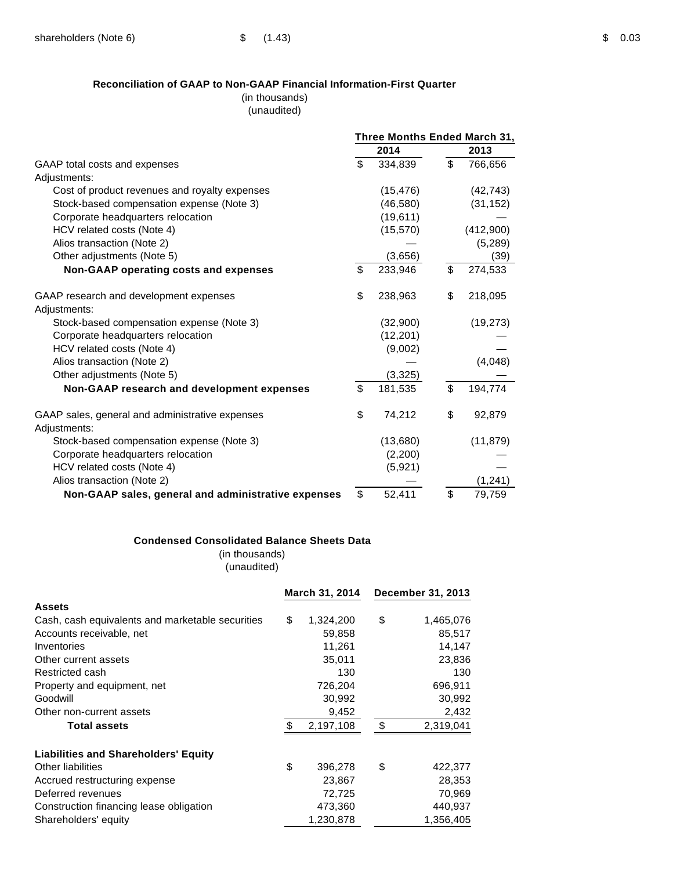# **Reconciliation of GAAP to Non-GAAP Financial Information-First Quarter**

(in thousands) (unaudited)

|                                                                 | Three Months Ended March 31, |           |                |           |  |
|-----------------------------------------------------------------|------------------------------|-----------|----------------|-----------|--|
|                                                                 |                              | 2014      |                | 2013      |  |
| GAAP total costs and expenses                                   | $\mathfrak{L}$               | 334,839   | \$             | 766,656   |  |
| Adjustments:                                                    |                              |           |                |           |  |
| Cost of product revenues and royalty expenses                   |                              | (15, 476) |                | (42, 743) |  |
| Stock-based compensation expense (Note 3)                       |                              | (46, 580) |                | (31, 152) |  |
| Corporate headquarters relocation                               |                              | (19,611)  |                |           |  |
| HCV related costs (Note 4)                                      |                              | (15, 570) |                | (412,900) |  |
| Alios transaction (Note 2)                                      |                              |           |                | (5,289)   |  |
| Other adjustments (Note 5)                                      |                              | (3,656)   |                | (39)      |  |
| Non-GAAP operating costs and expenses                           | \$                           | 233,946   | \$             | 274,533   |  |
| GAAP research and development expenses                          | \$                           | 238,963   | \$             | 218,095   |  |
| Adjustments:                                                    |                              |           |                |           |  |
| Stock-based compensation expense (Note 3)                       |                              | (32,900)  |                | (19, 273) |  |
| Corporate headquarters relocation                               |                              | (12, 201) |                |           |  |
| HCV related costs (Note 4)                                      |                              | (9,002)   |                |           |  |
| Alios transaction (Note 2)                                      |                              |           |                | (4,048)   |  |
| Other adjustments (Note 5)                                      |                              | (3,325)   |                |           |  |
| Non-GAAP research and development expenses                      | \$                           | 181,535   | $\mathfrak{S}$ | 194,774   |  |
| GAAP sales, general and administrative expenses<br>Adjustments: | \$                           | 74,212    | \$             | 92,879    |  |
| Stock-based compensation expense (Note 3)                       |                              | (13,680)  |                | (11, 879) |  |
| Corporate headquarters relocation                               |                              | (2, 200)  |                |           |  |
| HCV related costs (Note 4)                                      |                              | (5,921)   |                |           |  |
| Alios transaction (Note 2)                                      |                              |           |                | (1, 241)  |  |
| Non-GAAP sales, general and administrative expenses             | \$                           | 52,411    | \$             | 79,759    |  |

# **Condensed Consolidated Balance Sheets Data**

(in thousands) (unaudited)

|                                                  | March 31, 2014 |           | December 31, 2013 |
|--------------------------------------------------|----------------|-----------|-------------------|
| Assets                                           |                |           |                   |
| Cash, cash equivalents and marketable securities | \$             | 1,324,200 | \$<br>1,465,076   |
| Accounts receivable, net                         |                | 59,858    | 85,517            |
| Inventories                                      |                | 11,261    | 14,147            |
| Other current assets                             |                | 35,011    | 23,836            |
| Restricted cash                                  |                | 130       | 130               |
| Property and equipment, net                      |                | 726,204   | 696,911           |
| Goodwill                                         |                | 30,992    | 30,992            |
| Other non-current assets                         |                | 9,452     | 2,432             |
| <b>Total assets</b>                              | \$             | 2,197,108 | \$<br>2,319,041   |
| <b>Liabilities and Shareholders' Equity</b>      |                |           |                   |
| Other liabilities                                | \$             | 396,278   | \$<br>422,377     |
| Accrued restructuring expense                    |                | 23,867    | 28,353            |
| Deferred revenues                                |                | 72,725    | 70,969            |
| Construction financing lease obligation          |                | 473,360   | 440,937           |
| Shareholders' equity                             |                | 1,230,878 | 1,356,405         |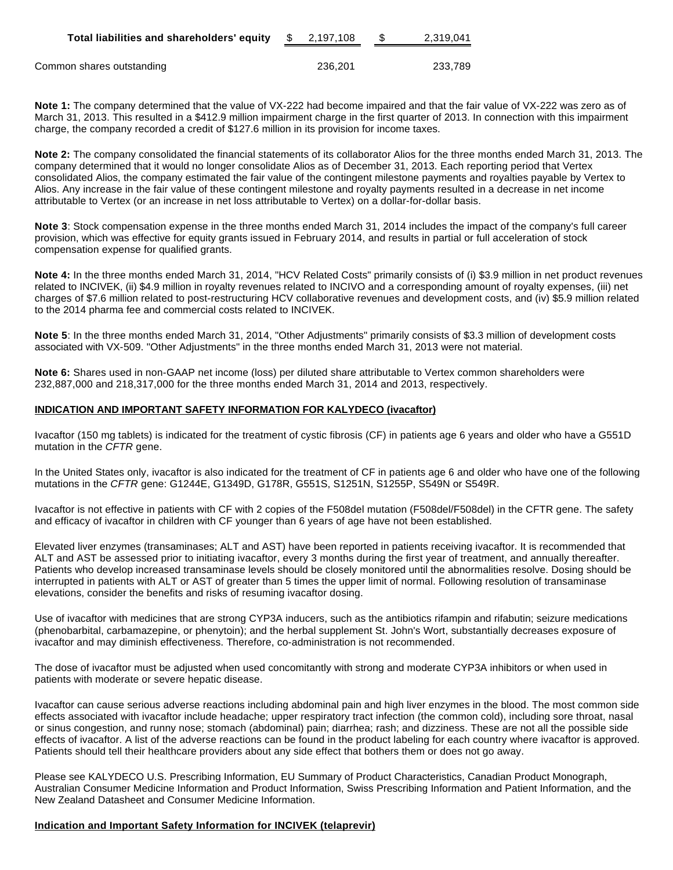| Total liabilities and shareholders' equity | \$ 2.197.108 | 2.319.041 |
|--------------------------------------------|--------------|-----------|
| Common shares outstanding                  | 236.201      | 233.789   |

**Note 1:** The company determined that the value of VX-222 had become impaired and that the fair value of VX-222 was zero as of March 31, 2013. This resulted in a \$412.9 million impairment charge in the first quarter of 2013. In connection with this impairment charge, the company recorded a credit of \$127.6 million in its provision for income taxes.

**Note 2:** The company consolidated the financial statements of its collaborator Alios for the three months ended March 31, 2013. The company determined that it would no longer consolidate Alios as of December 31, 2013. Each reporting period that Vertex consolidated Alios, the company estimated the fair value of the contingent milestone payments and royalties payable by Vertex to Alios. Any increase in the fair value of these contingent milestone and royalty payments resulted in a decrease in net income attributable to Vertex (or an increase in net loss attributable to Vertex) on a dollar-for-dollar basis.

**Note 3**: Stock compensation expense in the three months ended March 31, 2014 includes the impact of the company's full career provision, which was effective for equity grants issued in February 2014, and results in partial or full acceleration of stock compensation expense for qualified grants.

**Note 4:** In the three months ended March 31, 2014, "HCV Related Costs" primarily consists of (i) \$3.9 million in net product revenues related to INCIVEK, (ii) \$4.9 million in royalty revenues related to INCIVO and a corresponding amount of royalty expenses, (iii) net charges of \$7.6 million related to post-restructuring HCV collaborative revenues and development costs, and (iv) \$5.9 million related to the 2014 pharma fee and commercial costs related to INCIVEK.

**Note 5**: In the three months ended March 31, 2014, "Other Adjustments" primarily consists of \$3.3 million of development costs associated with VX-509. "Other Adjustments" in the three months ended March 31, 2013 were not material.

**Note 6:** Shares used in non-GAAP net income (loss) per diluted share attributable to Vertex common shareholders were 232,887,000 and 218,317,000 for the three months ended March 31, 2014 and 2013, respectively.

# **INDICATION AND IMPORTANT SAFETY INFORMATION FOR KALYDECO (ivacaftor)**

Ivacaftor (150 mg tablets) is indicated for the treatment of cystic fibrosis (CF) in patients age 6 years and older who have a G551D mutation in the CFTR gene.

In the United States only, ivacaftor is also indicated for the treatment of CF in patients age 6 and older who have one of the following mutations in the CFTR gene: G1244E, G1349D, G178R, G551S, S1251N, S1255P, S549N or S549R.

Ivacaftor is not effective in patients with CF with 2 copies of the F508del mutation (F508del/F508del) in the CFTR gene. The safety and efficacy of ivacaftor in children with CF younger than 6 years of age have not been established.

Elevated liver enzymes (transaminases; ALT and AST) have been reported in patients receiving ivacaftor. It is recommended that ALT and AST be assessed prior to initiating ivacaftor, every 3 months during the first year of treatment, and annually thereafter. Patients who develop increased transaminase levels should be closely monitored until the abnormalities resolve. Dosing should be interrupted in patients with ALT or AST of greater than 5 times the upper limit of normal. Following resolution of transaminase elevations, consider the benefits and risks of resuming ivacaftor dosing.

Use of ivacaftor with medicines that are strong CYP3A inducers, such as the antibiotics rifampin and rifabutin; seizure medications (phenobarbital, carbamazepine, or phenytoin); and the herbal supplement St. John's Wort, substantially decreases exposure of ivacaftor and may diminish effectiveness. Therefore, co-administration is not recommended.

The dose of ivacaftor must be adjusted when used concomitantly with strong and moderate CYP3A inhibitors or when used in patients with moderate or severe hepatic disease.

Ivacaftor can cause serious adverse reactions including abdominal pain and high liver enzymes in the blood. The most common side effects associated with ivacaftor include headache; upper respiratory tract infection (the common cold), including sore throat, nasal or sinus congestion, and runny nose; stomach (abdominal) pain; diarrhea; rash; and dizziness. These are not all the possible side effects of ivacaftor. A list of the adverse reactions can be found in the product labeling for each country where ivacaftor is approved. Patients should tell their healthcare providers about any side effect that bothers them or does not go away.

Please see KALYDECO U.S. Prescribing Information, EU Summary of Product Characteristics, Canadian Product Monograph, Australian Consumer Medicine Information and Product Information, Swiss Prescribing Information and Patient Information, and the New Zealand Datasheet and Consumer Medicine Information.

#### **Indication and Important Safety Information for INCIVEK (telaprevir)**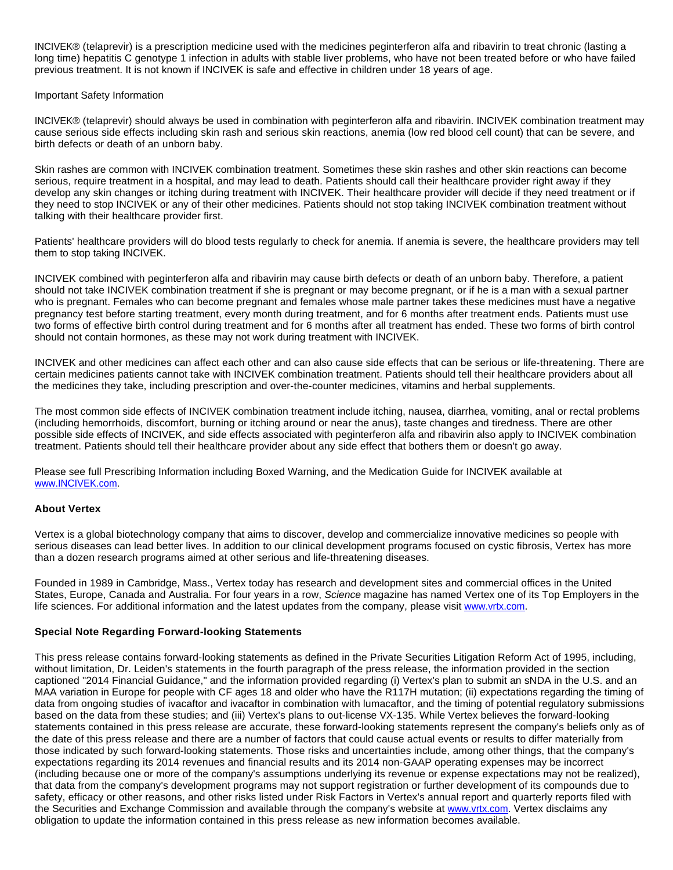INCIVEK® (telaprevir) is a prescription medicine used with the medicines peginterferon alfa and ribavirin to treat chronic (lasting a long time) hepatitis C genotype 1 infection in adults with stable liver problems, who have not been treated before or who have failed previous treatment. It is not known if INCIVEK is safe and effective in children under 18 years of age.

#### Important Safety Information

INCIVEK® (telaprevir) should always be used in combination with peginterferon alfa and ribavirin. INCIVEK combination treatment may cause serious side effects including skin rash and serious skin reactions, anemia (low red blood cell count) that can be severe, and birth defects or death of an unborn baby.

Skin rashes are common with INCIVEK combination treatment. Sometimes these skin rashes and other skin reactions can become serious, require treatment in a hospital, and may lead to death. Patients should call their healthcare provider right away if they develop any skin changes or itching during treatment with INCIVEK. Their healthcare provider will decide if they need treatment or if they need to stop INCIVEK or any of their other medicines. Patients should not stop taking INCIVEK combination treatment without talking with their healthcare provider first.

Patients' healthcare providers will do blood tests regularly to check for anemia. If anemia is severe, the healthcare providers may tell them to stop taking INCIVEK.

INCIVEK combined with peginterferon alfa and ribavirin may cause birth defects or death of an unborn baby. Therefore, a patient should not take INCIVEK combination treatment if she is pregnant or may become pregnant, or if he is a man with a sexual partner who is pregnant. Females who can become pregnant and females whose male partner takes these medicines must have a negative pregnancy test before starting treatment, every month during treatment, and for 6 months after treatment ends. Patients must use two forms of effective birth control during treatment and for 6 months after all treatment has ended. These two forms of birth control should not contain hormones, as these may not work during treatment with INCIVEK.

INCIVEK and other medicines can affect each other and can also cause side effects that can be serious or life-threatening. There are certain medicines patients cannot take with INCIVEK combination treatment. Patients should tell their healthcare providers about all the medicines they take, including prescription and over-the-counter medicines, vitamins and herbal supplements.

The most common side effects of INCIVEK combination treatment include itching, nausea, diarrhea, vomiting, anal or rectal problems (including hemorrhoids, discomfort, burning or itching around or near the anus), taste changes and tiredness. There are other possible side effects of INCIVEK, and side effects associated with peginterferon alfa and ribavirin also apply to INCIVEK combination treatment. Patients should tell their healthcare provider about any side effect that bothers them or doesn't go away.

Please see full Prescribing Information including Boxed Warning, and the Medication Guide for INCIVEK available at [www.INCIVEK.com.](http://www.incivek.com/)

### **About Vertex**

Vertex is a global biotechnology company that aims to discover, develop and commercialize innovative medicines so people with serious diseases can lead better lives. In addition to our clinical development programs focused on cystic fibrosis, Vertex has more than a dozen research programs aimed at other serious and life-threatening diseases.

Founded in 1989 in Cambridge, Mass., Vertex today has research and development sites and commercial offices in the United States, Europe, Canada and Australia. For four years in a row, Science magazine has named Vertex one of its Top Employers in the life sciences. For additional information and the latest updates from the company, please visit [www.vrtx.com.](http://cts.businesswire.com/ct/CT?id=smartlink&url=http%3A%2F%2Fwww.vrtx.com&esheet=50856359&newsitemid=20140501006693&lan=en-US&anchor=www.vrtx.com&index=2&md5=40de4ec19c77c86361e4d322c9d35bdf)

# **Special Note Regarding Forward-looking Statements**

This press release contains forward-looking statements as defined in the Private Securities Litigation Reform Act of 1995, including, without limitation, Dr. Leiden's statements in the fourth paragraph of the press release, the information provided in the section captioned "2014 Financial Guidance," and the information provided regarding (i) Vertex's plan to submit an sNDA in the U.S. and an MAA variation in Europe for people with CF ages 18 and older who have the R117H mutation; (ii) expectations regarding the timing of data from ongoing studies of ivacaftor and ivacaftor in combination with lumacaftor, and the timing of potential regulatory submissions based on the data from these studies; and (iii) Vertex's plans to out-license VX-135. While Vertex believes the forward-looking statements contained in this press release are accurate, these forward-looking statements represent the company's beliefs only as of the date of this press release and there are a number of factors that could cause actual events or results to differ materially from those indicated by such forward-looking statements. Those risks and uncertainties include, among other things, that the company's expectations regarding its 2014 revenues and financial results and its 2014 non-GAAP operating expenses may be incorrect (including because one or more of the company's assumptions underlying its revenue or expense expectations may not be realized), that data from the company's development programs may not support registration or further development of its compounds due to safety, efficacy or other reasons, and other risks listed under Risk Factors in Vertex's annual report and quarterly reports filed with the Securities and Exchange Commission and available through the company's website at [www.vrtx.com](http://cts.businesswire.com/ct/CT?id=smartlink&url=http%3A%2F%2Fwww.vrtx.com&esheet=50856359&newsitemid=20140501006693&lan=en-US&anchor=www.vrtx.com&index=3&md5=a2f0017531209dba6f3fbd3f2b0b1e01). Vertex disclaims any obligation to update the information contained in this press release as new information becomes available.